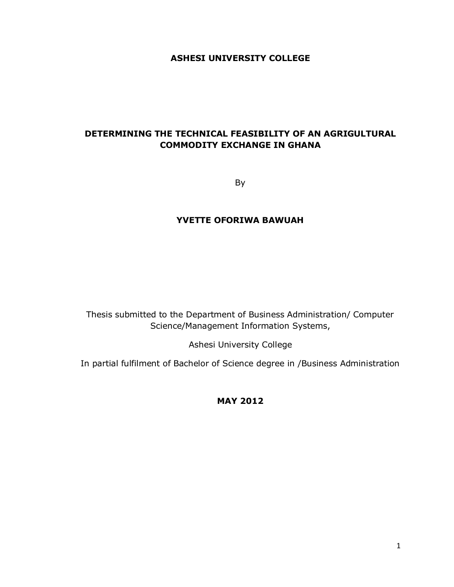## **ASHESI UNIVERSITY COLLEGE**

## **DETERMINING THE TECHNICAL FEASIBILITY OF AN AGRIGULTURAL COMMODITY EXCHANGE IN GHANA**

By

## **YVETTE OFORIWA BAWUAH**

Thesis submitted to the Department of Business Administration/ Computer Science/Management Information Systems,

Ashesi University College

In partial fulfilment of Bachelor of Science degree in /Business Administration

**MAY 2012**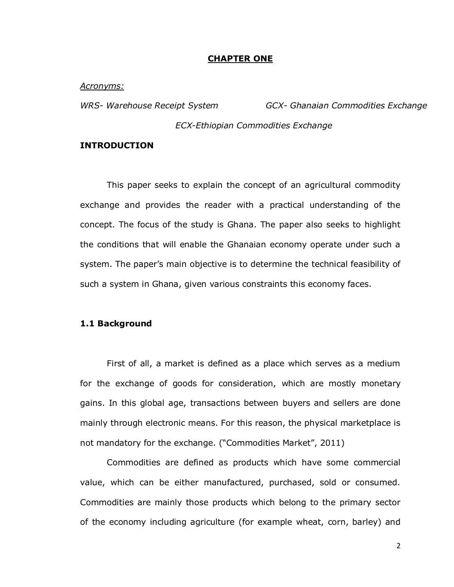#### **CHAPTER ONE**

*Acronyms:*

*WRS- Warehouse Receipt System GCX- Ghanaian Commodities Exchange*

*ECX-Ethiopian Commodities Exchange*

### **INTRODUCTION**

This paper seeks to explain the concept of an agricultural commodity exchange and provides the reader with a practical understanding of the concept. The focus of the study is Ghana. The paper also seeks to highlight the conditions that will enable the Ghanaian economy operate under such a system. The paper's main objective is to determine the technical feasibility of such a system in Ghana, given various constraints this economy faces.

## **1.1 Background**

First of all, a market is defined as a place which serves as a medium for the exchange of goods for consideration, which are mostly monetary gains. In this global age, transactions between buyers and sellers are done mainly through electronic means. For this reason, the physical marketplace is not mandatory for the exchange. ("Commodities Market", 2011)

Commodities are defined as products which have some commercial value, which can be either manufactured, purchased, sold or consumed. Commodities are mainly those products which belong to the primary sector of the economy including agriculture (for example wheat, corn, barley) and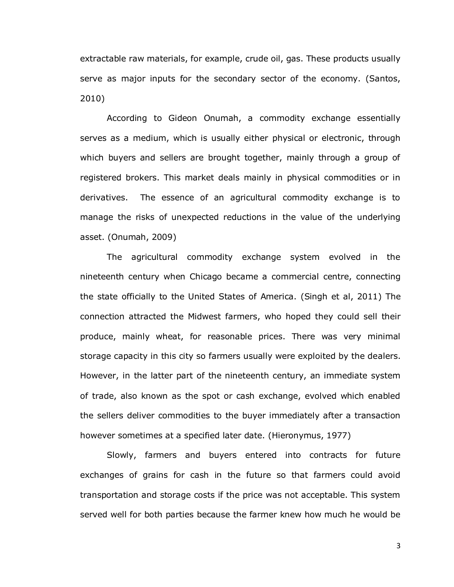extractable raw materials, for example, crude oil, gas. These products usually serve as major inputs for the secondary sector of the economy. (Santos, 2010)

According to Gideon Onumah, a commodity exchange essentially serves as a medium, which is usually either physical or electronic, through which buyers and sellers are brought together, mainly through a group of registered brokers. This market deals mainly in physical commodities or in derivatives. The essence of an agricultural commodity exchange is to manage the risks of unexpected reductions in the value of the underlying asset. (Onumah, 2009)

The agricultural commodity exchange system evolved in the nineteenth century when Chicago became a commercial centre, connecting the state officially to the United States of America. (Singh et al, 2011) The connection attracted the Midwest farmers, who hoped they could sell their produce, mainly wheat, for reasonable prices. There was very minimal storage capacity in this city so farmers usually were exploited by the dealers. However, in the latter part of the nineteenth century, an immediate system of trade, also known as the spot or cash exchange, evolved which enabled the sellers deliver commodities to the buyer immediately after a transaction however sometimes at a specified later date. (Hieronymus, 1977)

Slowly, farmers and buyers entered into contracts for future exchanges of grains for cash in the future so that farmers could avoid transportation and storage costs if the price was not acceptable. This system served well for both parties because the farmer knew how much he would be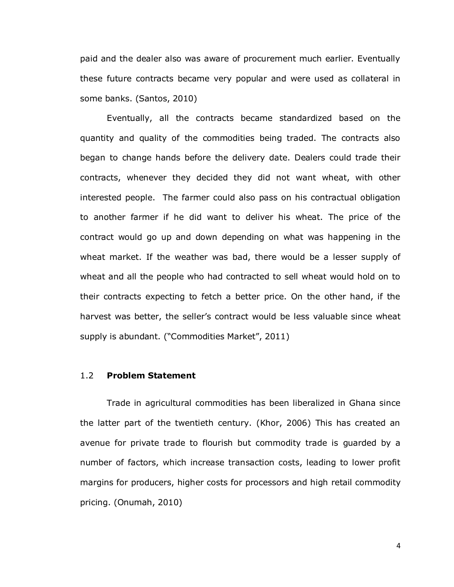paid and the dealer also was aware of procurement much earlier. Eventually these future contracts became very popular and were used as collateral in some banks. (Santos, 2010)

Eventually, all the contracts became standardized based on the quantity and quality of the commodities being traded. The contracts also began to change hands before the delivery date. Dealers could trade their contracts, whenever they decided they did not want wheat, with other interested people. The farmer could also pass on his contractual obligation to another farmer if he did want to deliver his wheat. The price of the contract would go up and down depending on what was happening in the wheat market. If the weather was bad, there would be a lesser supply of wheat and all the people who had contracted to sell wheat would hold on to their contracts expecting to fetch a better price. On the other hand, if the harvest was better, the seller's contract would be less valuable since wheat supply is abundant. ("Commodities Market", 2011)

### 1.2 **Problem Statement**

Trade in agricultural commodities has been liberalized in Ghana since the latter part of the twentieth century. (Khor, 2006) This has created an avenue for private trade to flourish but commodity trade is guarded by a number of factors, which increase transaction costs, leading to lower profit margins for producers, higher costs for processors and high retail commodity pricing. (Onumah, 2010)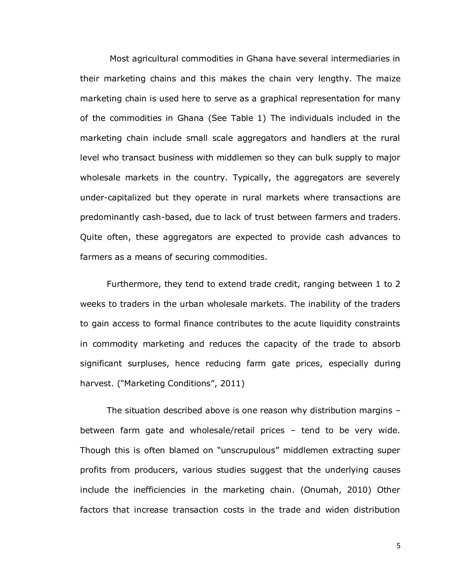Most agricultural commodities in Ghana have several intermediaries in their marketing chains and this makes the chain very lengthy. The maize marketing chain is used here to serve as a graphical representation for many of the commodities in Ghana (See Table 1) The individuals included in the marketing chain include small scale aggregators and handlers at the rural level who transact business with middlemen so they can bulk supply to major wholesale markets in the country. Typically, the aggregators are severely under-capitalized but they operate in rural markets where transactions are predominantly cash-based, due to lack of trust between farmers and traders. Quite often, these aggregators are expected to provide cash advances to farmers as a means of securing commodities.

Furthermore, they tend to extend trade credit, ranging between 1 to 2 weeks to traders in the urban wholesale markets. The inability of the traders to gain access to formal finance contributes to the acute liquidity constraints in commodity marketing and reduces the capacity of the trade to absorb significant surpluses, hence reducing farm gate prices, especially during harvest. ("Marketing Conditions", 2011)

The situation described above is one reason why distribution margins – between farm gate and wholesale/retail prices – tend to be very wide. Though this is often blamed on "unscrupulous" middlemen extracting super profits from producers, various studies suggest that the underlying causes include the inefficiencies in the marketing chain. (Onumah, 2010) Other factors that increase transaction costs in the trade and widen distribution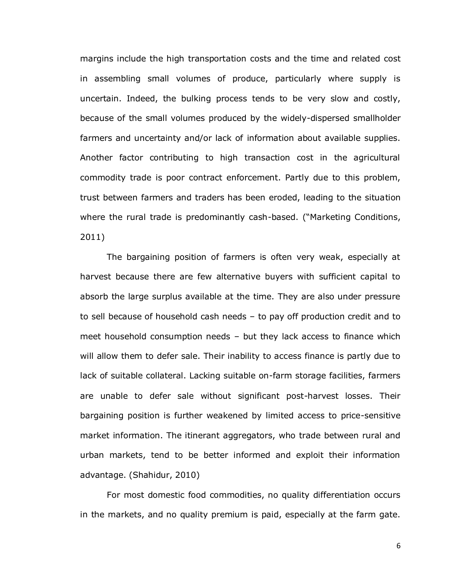margins include the high transportation costs and the time and related cost in assembling small volumes of produce, particularly where supply is uncertain. Indeed, the bulking process tends to be very slow and costly, because of the small volumes produced by the widely-dispersed smallholder farmers and uncertainty and/or lack of information about available supplies. Another factor contributing to high transaction cost in the agricultural commodity trade is poor contract enforcement. Partly due to this problem, trust between farmers and traders has been eroded, leading to the situation where the rural trade is predominantly cash-based. ("Marketing Conditions, 2011)

The bargaining position of farmers is often very weak, especially at harvest because there are few alternative buyers with sufficient capital to absorb the large surplus available at the time. They are also under pressure to sell because of household cash needs – to pay off production credit and to meet household consumption needs – but they lack access to finance which will allow them to defer sale. Their inability to access finance is partly due to lack of suitable collateral. Lacking suitable on-farm storage facilities, farmers are unable to defer sale without significant post-harvest losses. Their bargaining position is further weakened by limited access to price-sensitive market information. The itinerant aggregators, who trade between rural and urban markets, tend to be better informed and exploit their information advantage. (Shahidur, 2010)

For most domestic food commodities, no quality differentiation occurs in the markets, and no quality premium is paid, especially at the farm gate.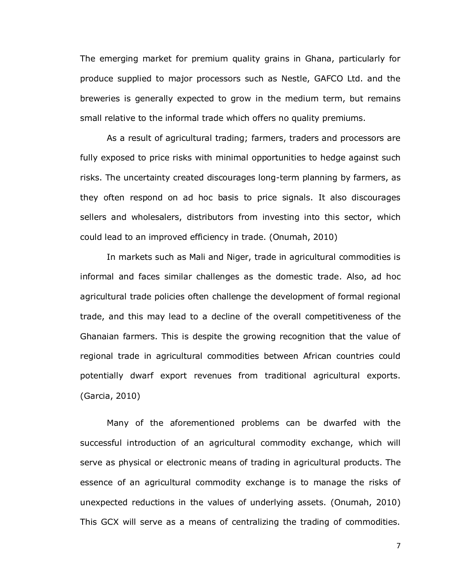The emerging market for premium quality grains in Ghana, particularly for produce supplied to major processors such as Nestle, GAFCO Ltd. and the breweries is generally expected to grow in the medium term, but remains small relative to the informal trade which offers no quality premiums.

As a result of agricultural trading; farmers, traders and processors are fully exposed to price risks with minimal opportunities to hedge against such risks. The uncertainty created discourages long-term planning by farmers, as they often respond on ad hoc basis to price signals. It also discourages sellers and wholesalers, distributors from investing into this sector, which could lead to an improved efficiency in trade. (Onumah, 2010)

In markets such as Mali and Niger, trade in agricultural commodities is informal and faces similar challenges as the domestic trade. Also, ad hoc agricultural trade policies often challenge the development of formal regional trade, and this may lead to a decline of the overall competitiveness of the Ghanaian farmers. This is despite the growing recognition that the value of regional trade in agricultural commodities between African countries could potentially dwarf export revenues from traditional agricultural exports. (Garcia, 2010)

Many of the aforementioned problems can be dwarfed with the successful introduction of an agricultural commodity exchange, which will serve as physical or electronic means of trading in agricultural products. The essence of an agricultural commodity exchange is to manage the risks of unexpected reductions in the values of underlying assets. (Onumah, 2010) This GCX will serve as a means of centralizing the trading of commodities.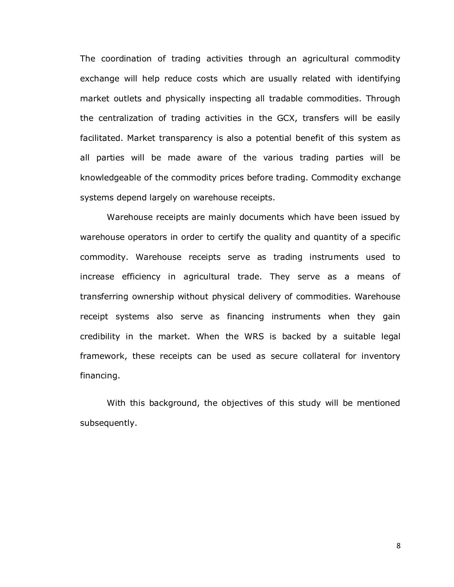The coordination of trading activities through an agricultural commodity exchange will help reduce costs which are usually related with identifying market outlets and physically inspecting all tradable commodities. Through the centralization of trading activities in the GCX, transfers will be easily facilitated. Market transparency is also a potential benefit of this system as all parties will be made aware of the various trading parties will be knowledgeable of the commodity prices before trading. Commodity exchange systems depend largely on warehouse receipts.

Warehouse receipts are mainly documents which have been issued by warehouse operators in order to certify the quality and quantity of a specific commodity. Warehouse receipts serve as trading instruments used to increase efficiency in agricultural trade. They serve as a means of transferring ownership without physical delivery of commodities. Warehouse receipt systems also serve as financing instruments when they gain credibility in the market. When the WRS is backed by a suitable legal framework, these receipts can be used as secure collateral for inventory financing.

With this background, the objectives of this study will be mentioned subsequently.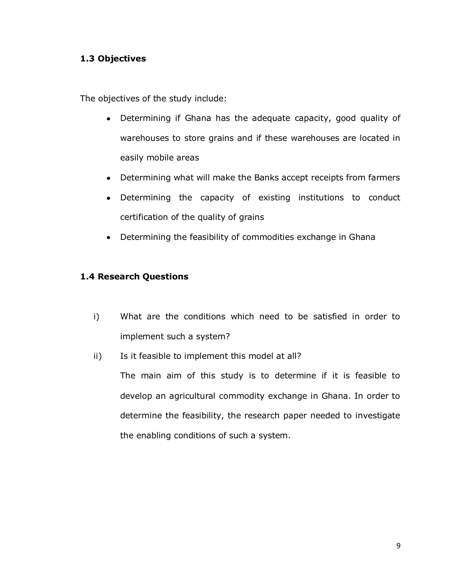## **1.3 Objectives**

The objectives of the study include:

- Determining if Ghana has the adequate capacity, good quality of warehouses to store grains and if these warehouses are located in easily mobile areas
- Determining what will make the Banks accept receipts from farmers  $\bullet$
- Determining the capacity of existing institutions to conduct certification of the quality of grains
- Determining the feasibility of commodities exchange in Ghana

## **1.4 Research Questions**

- i) What are the conditions which need to be satisfied in order to implement such a system?
- ii) Is it feasible to implement this model at all?

The main aim of this study is to determine if it is feasible to develop an agricultural commodity exchange in Ghana. In order to determine the feasibility, the research paper needed to investigate the enabling conditions of such a system.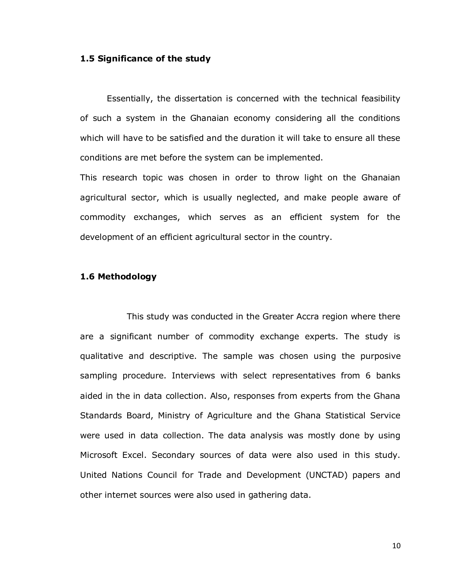#### **1.5 Significance of the study**

Essentially, the dissertation is concerned with the technical feasibility of such a system in the Ghanaian economy considering all the conditions which will have to be satisfied and the duration it will take to ensure all these conditions are met before the system can be implemented.

This research topic was chosen in order to throw light on the Ghanaian agricultural sector, which is usually neglected, and make people aware of commodity exchanges, which serves as an efficient system for the development of an efficient agricultural sector in the country.

## **1.6 Methodology**

This study was conducted in the Greater Accra region where there are a significant number of commodity exchange experts. The study is qualitative and descriptive. The sample was chosen using the purposive sampling procedure. Interviews with select representatives from 6 banks aided in the in data collection. Also, responses from experts from the Ghana Standards Board, Ministry of Agriculture and the Ghana Statistical Service were used in data collection. The data analysis was mostly done by using Microsoft Excel. Secondary sources of data were also used in this study. United Nations Council for Trade and Development (UNCTAD) papers and other internet sources were also used in gathering data.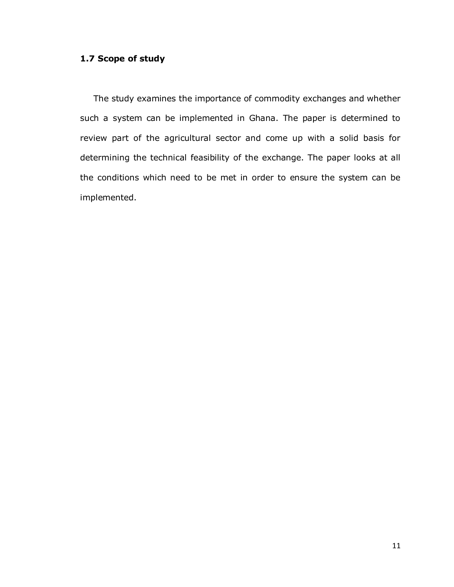## **1.7 Scope of study**

The study examines the importance of commodity exchanges and whether such a system can be implemented in Ghana. The paper is determined to review part of the agricultural sector and come up with a solid basis for determining the technical feasibility of the exchange. The paper looks at all the conditions which need to be met in order to ensure the system can be implemented.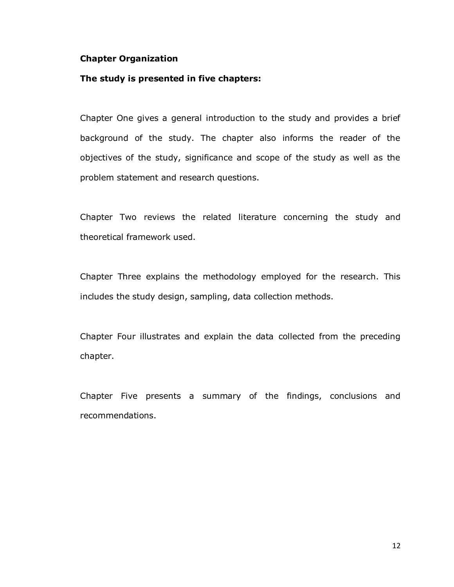## **Chapter Organization**

## **The study is presented in five chapters:**

Chapter One gives a general introduction to the study and provides a brief background of the study. The chapter also informs the reader of the objectives of the study, significance and scope of the study as well as the problem statement and research questions.

Chapter Two reviews the related literature concerning the study and theoretical framework used.

Chapter Three explains the methodology employed for the research. This includes the study design, sampling, data collection methods.

Chapter Four illustrates and explain the data collected from the preceding chapter.

Chapter Five presents a summary of the findings, conclusions and recommendations.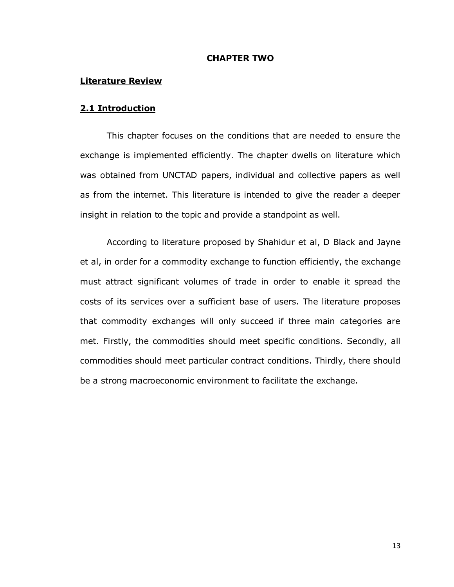## **CHAPTER TWO**

#### **Literature Review**

#### **2.1 Introduction**

This chapter focuses on the conditions that are needed to ensure the exchange is implemented efficiently. The chapter dwells on literature which was obtained from UNCTAD papers, individual and collective papers as well as from the internet. This literature is intended to give the reader a deeper insight in relation to the topic and provide a standpoint as well.

According to literature proposed by Shahidur et al, D Black and Jayne et al, in order for a commodity exchange to function efficiently, the exchange must attract significant volumes of trade in order to enable it spread the costs of its services over a sufficient base of users. The literature proposes that commodity exchanges will only succeed if three main categories are met. Firstly, the commodities should meet specific conditions. Secondly, all commodities should meet particular contract conditions. Thirdly, there should be a strong macroeconomic environment to facilitate the exchange.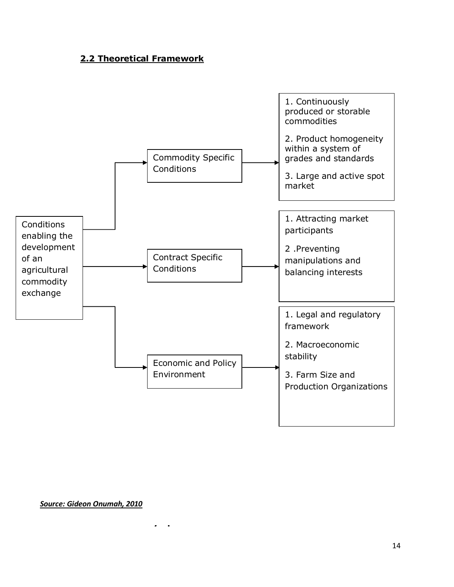## **2.2 Theoretical Framework**



*Source: Gideon Onumah, 2010*

**1. Commodity Specific Conditions**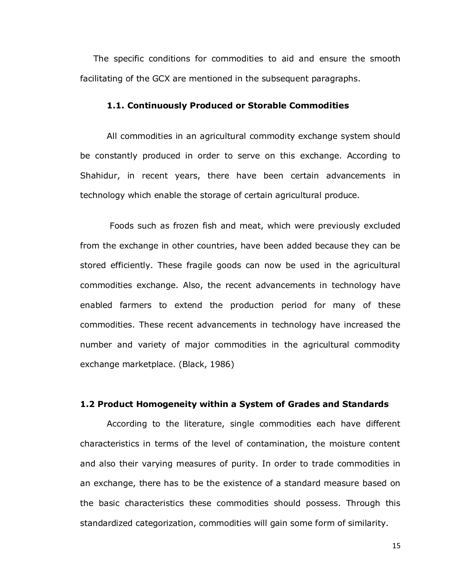The specific conditions for commodities to aid and ensure the smooth facilitating of the GCX are mentioned in the subsequent paragraphs.

#### **1.1. Continuously Produced or Storable Commodities**

All commodities in an agricultural commodity exchange system should be constantly produced in order to serve on this exchange. According to Shahidur, in recent years, there have been certain advancements in technology which enable the storage of certain agricultural produce.

Foods such as frozen fish and meat, which were previously excluded from the exchange in other countries, have been added because they can be stored efficiently. These fragile goods can now be used in the agricultural commodities exchange. Also, the recent advancements in technology have enabled farmers to extend the production period for many of these commodities. These recent advancements in technology have increased the number and variety of major commodities in the agricultural commodity exchange marketplace. (Black, 1986)

### **1.2 Product Homogeneity within a System of Grades and Standards**

According to the literature, single commodities each have different characteristics in terms of the level of contamination, the moisture content and also their varying measures of purity. In order to trade commodities in an exchange, there has to be the existence of a standard measure based on the basic characteristics these commodities should possess. Through this standardized categorization, commodities will gain some form of similarity.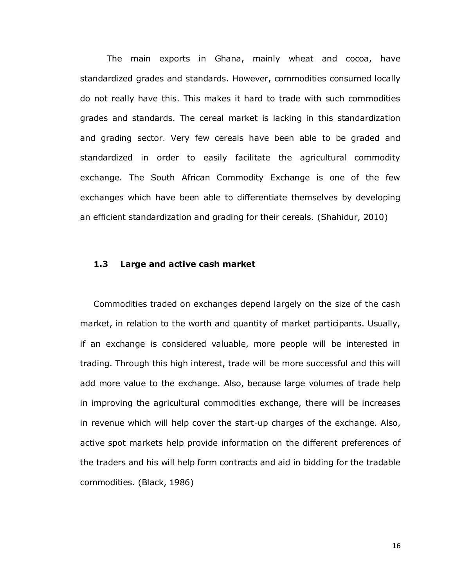The main exports in Ghana, mainly wheat and cocoa, have standardized grades and standards. However, commodities consumed locally do not really have this. This makes it hard to trade with such commodities grades and standards. The cereal market is lacking in this standardization and grading sector. Very few cereals have been able to be graded and standardized in order to easily facilitate the agricultural commodity exchange. The South African Commodity Exchange is one of the few exchanges which have been able to differentiate themselves by developing an efficient standardization and grading for their cereals. (Shahidur, 2010)

### **1.3 Large and active cash market**

Commodities traded on exchanges depend largely on the size of the cash market, in relation to the worth and quantity of market participants. Usually, if an exchange is considered valuable, more people will be interested in trading. Through this high interest, trade will be more successful and this will add more value to the exchange. Also, because large volumes of trade help in improving the agricultural commodities exchange, there will be increases in revenue which will help cover the start-up charges of the exchange. Also, active spot markets help provide information on the different preferences of the traders and his will help form contracts and aid in bidding for the tradable commodities. (Black, 1986)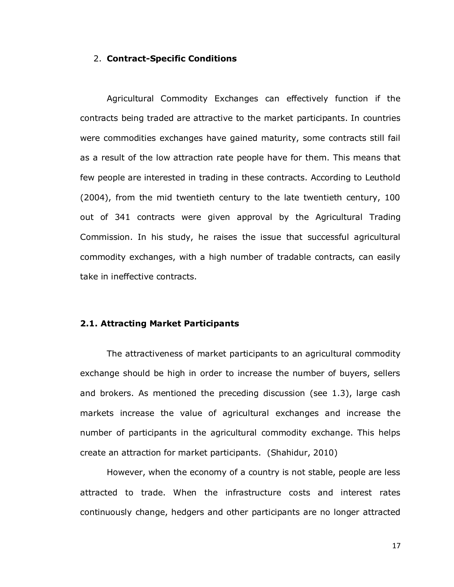### 2. **Contract-Specific Conditions**

Agricultural Commodity Exchanges can effectively function if the contracts being traded are attractive to the market participants. In countries were commodities exchanges have gained maturity, some contracts still fail as a result of the low attraction rate people have for them. This means that few people are interested in trading in these contracts. According to Leuthold (2004), from the mid twentieth century to the late twentieth century, 100 out of 341 contracts were given approval by the Agricultural Trading Commission. In his study, he raises the issue that successful agricultural commodity exchanges, with a high number of tradable contracts, can easily take in ineffective contracts.

## **2.1. Attracting Market Participants**

The attractiveness of market participants to an agricultural commodity exchange should be high in order to increase the number of buyers, sellers and brokers. As mentioned the preceding discussion (see 1.3), large cash markets increase the value of agricultural exchanges and increase the number of participants in the agricultural commodity exchange. This helps create an attraction for market participants. (Shahidur, 2010)

However, when the economy of a country is not stable, people are less attracted to trade. When the infrastructure costs and interest rates continuously change, hedgers and other participants are no longer attracted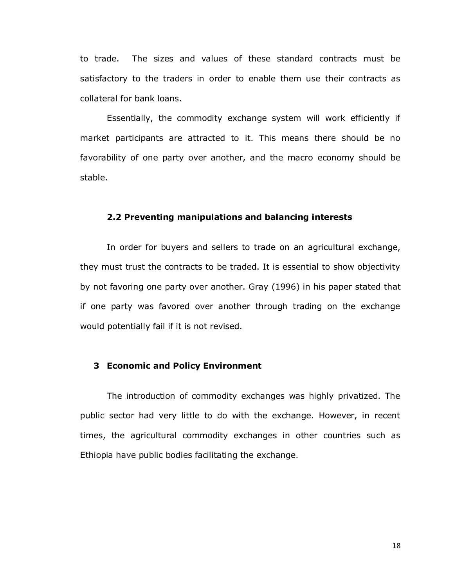to trade. The sizes and values of these standard contracts must be satisfactory to the traders in order to enable them use their contracts as collateral for bank loans.

Essentially, the commodity exchange system will work efficiently if market participants are attracted to it. This means there should be no favorability of one party over another, and the macro economy should be stable.

#### **2.2 Preventing manipulations and balancing interests**

In order for buyers and sellers to trade on an agricultural exchange, they must trust the contracts to be traded. It is essential to show objectivity by not favoring one party over another. Gray (1996) in his paper stated that if one party was favored over another through trading on the exchange would potentially fail if it is not revised.

#### **3 Economic and Policy Environment**

The introduction of commodity exchanges was highly privatized. The public sector had very little to do with the exchange. However, in recent times, the agricultural commodity exchanges in other countries such as Ethiopia have public bodies facilitating the exchange.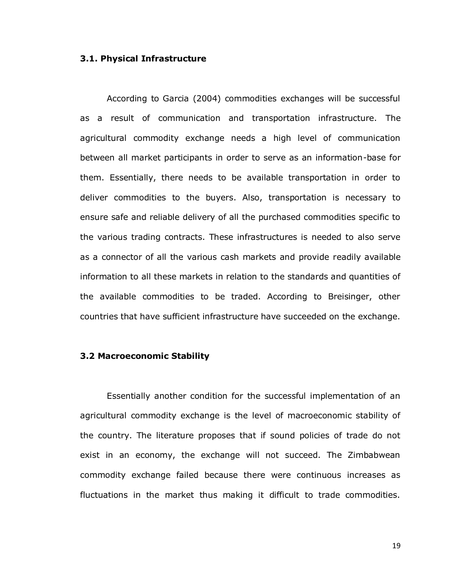#### **3.1. Physical Infrastructure**

According to Garcia (2004) commodities exchanges will be successful as a result of communication and transportation infrastructure. The agricultural commodity exchange needs a high level of communication between all market participants in order to serve as an information-base for them. Essentially, there needs to be available transportation in order to deliver commodities to the buyers. Also, transportation is necessary to ensure safe and reliable delivery of all the purchased commodities specific to the various trading contracts. These infrastructures is needed to also serve as a connector of all the various cash markets and provide readily available information to all these markets in relation to the standards and quantities of the available commodities to be traded. According to Breisinger, other countries that have sufficient infrastructure have succeeded on the exchange.

#### **3.2 Macroeconomic Stability**

Essentially another condition for the successful implementation of an agricultural commodity exchange is the level of macroeconomic stability of the country. The literature proposes that if sound policies of trade do not exist in an economy, the exchange will not succeed. The Zimbabwean commodity exchange failed because there were continuous increases as fluctuations in the market thus making it difficult to trade commodities.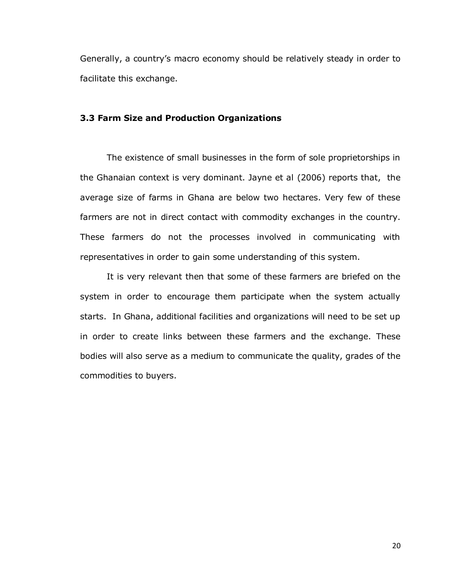Generally, a country's macro economy should be relatively steady in order to facilitate this exchange.

## **3.3 Farm Size and Production Organizations**

The existence of small businesses in the form of sole proprietorships in the Ghanaian context is very dominant. Jayne et al (2006) reports that, the average size of farms in Ghana are below two hectares. Very few of these farmers are not in direct contact with commodity exchanges in the country. These farmers do not the processes involved in communicating with representatives in order to gain some understanding of this system.

It is very relevant then that some of these farmers are briefed on the system in order to encourage them participate when the system actually starts. In Ghana, additional facilities and organizations will need to be set up in order to create links between these farmers and the exchange. These bodies will also serve as a medium to communicate the quality, grades of the commodities to buyers.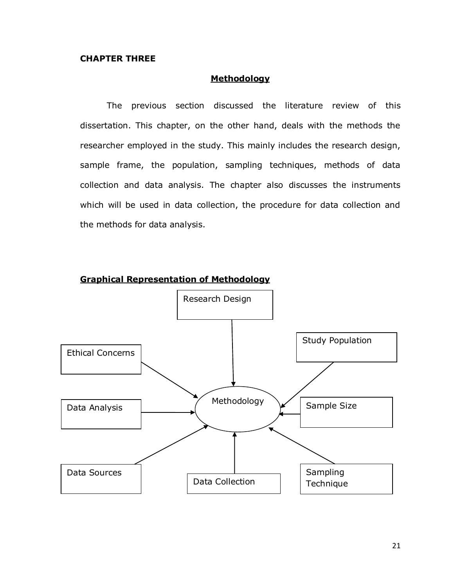## **CHAPTER THREE**

## **Methodology**

The previous section discussed the literature review of this dissertation. This chapter, on the other hand, deals with the methods the researcher employed in the study. This mainly includes the research design, sample frame, the population, sampling techniques, methods of data collection and data analysis. The chapter also discusses the instruments which will be used in data collection, the procedure for data collection and the methods for data analysis.



## **Graphical Representation of Methodology**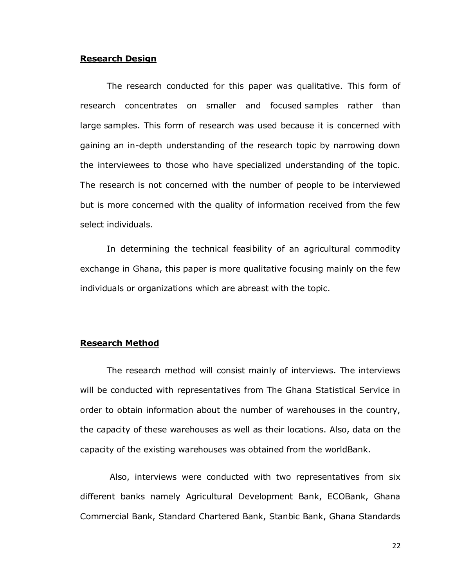## **Research Design**

The research conducted for this paper was qualitative. This form of research concentrates on smaller and focused samples rather than large samples. This form of research was used because it is concerned with gaining an in-depth understanding of the research topic by narrowing down the interviewees to those who have specialized understanding of the topic. The research is not concerned with the number of people to be interviewed but is more concerned with the quality of information received from the few select individuals.

In determining the technical feasibility of an agricultural commodity exchange in Ghana, this paper is more qualitative focusing mainly on the few individuals or organizations which are abreast with the topic.

#### **Research Method**

The research method will consist mainly of interviews. The interviews will be conducted with representatives from The Ghana Statistical Service in order to obtain information about the number of warehouses in the country, the capacity of these warehouses as well as their locations. Also, data on the capacity of the existing warehouses was obtained from the worldBank.

Also, interviews were conducted with two representatives from six different banks namely Agricultural Development Bank, ECOBank, Ghana Commercial Bank, Standard Chartered Bank, Stanbic Bank, Ghana Standards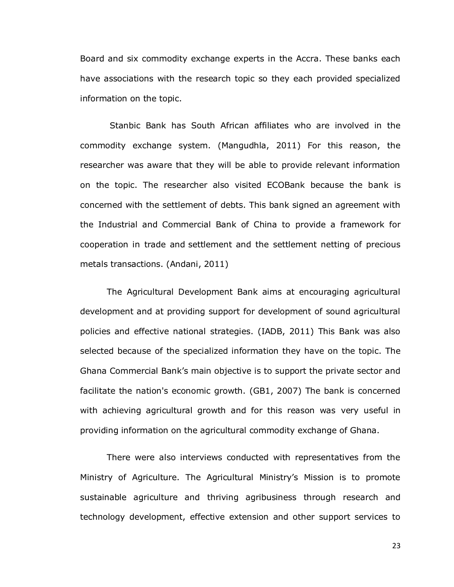Board and six commodity exchange experts in the Accra. These banks each have associations with the research topic so they each provided specialized information on the topic.

Stanbic Bank has South African affiliates who are involved in the commodity exchange system. (Mangudhla, 2011) For this reason, the researcher was aware that they will be able to provide relevant information on the topic. The researcher also visited ECOBank because the bank is concerned with the settlement of debts. This bank signed an agreement with the Industrial and Commercial Bank of China to provide a framework for cooperation in trade and settlement and the settlement netting of precious metals transactions. (Andani, 2011)

The Agricultural Development Bank aims at encouraging agricultural development and at providing support for development of sound agricultural policies and effective national strategies. (IADB, 2011) This Bank was also selected because of the specialized information they have on the topic. The Ghana Commercial Bank's main objective is to support the private sector and facilitate the nation's economic growth. (GB1, 2007) The bank is concerned with achieving agricultural growth and for this reason was very useful in providing information on the agricultural commodity exchange of Ghana.

There were also interviews conducted with representatives from the Ministry of Agriculture. The Agricultural Ministry's Mission is to promote sustainable agriculture and thriving agribusiness through research and technology development, effective extension and other support services to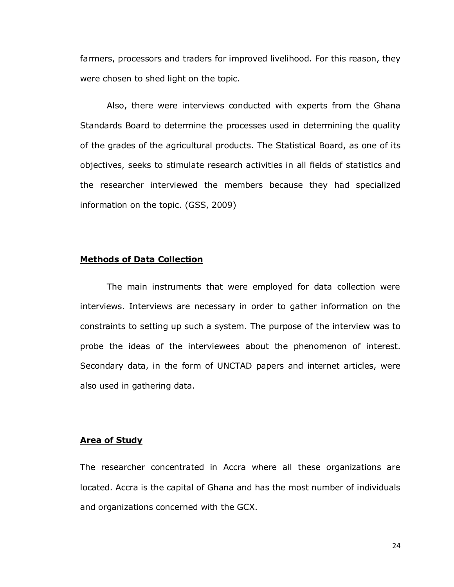farmers, processors and traders for improved livelihood. For this reason, they were chosen to shed light on the topic.

Also, there were interviews conducted with experts from the Ghana Standards Board to determine the processes used in determining the quality of the grades of the agricultural products. The Statistical Board, as one of its objectives, seeks to stimulate research activities in all fields of statistics and the researcher interviewed the members because they had specialized information on the topic. (GSS, 2009)

#### **Methods of Data Collection**

The main instruments that were employed for data collection were interviews. Interviews are necessary in order to gather information on the constraints to setting up such a system. The purpose of the interview was to probe the ideas of the interviewees about the phenomenon of interest. Secondary data, in the form of UNCTAD papers and internet articles, were also used in gathering data.

## **Area of Study**

The researcher concentrated in Accra where all these organizations are located. Accra is the capital of Ghana and has the most number of individuals and organizations concerned with the GCX.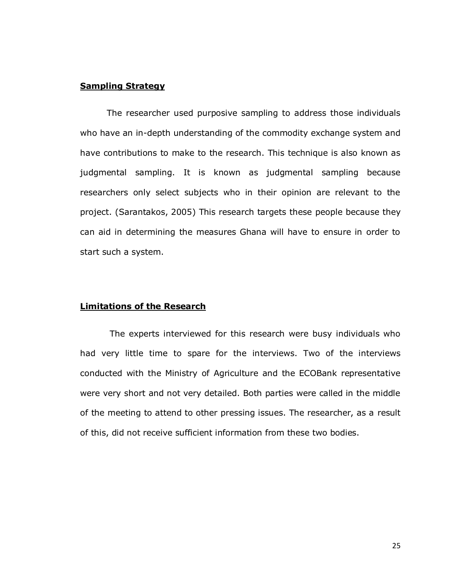## **Sampling Strategy**

The researcher used purposive sampling to address those individuals who have an in-depth understanding of the commodity exchange system and have contributions to make to the research. This technique is also known as judgmental sampling. It is known as judgmental sampling because researchers only select subjects who in their opinion are relevant to the project. (Sarantakos, 2005) This research targets these people because they can aid in determining the measures Ghana will have to ensure in order to start such a system.

## **Limitations of the Research**

The experts interviewed for this research were busy individuals who had very little time to spare for the interviews. Two of the interviews conducted with the Ministry of Agriculture and the ECOBank representative were very short and not very detailed. Both parties were called in the middle of the meeting to attend to other pressing issues. The researcher, as a result of this, did not receive sufficient information from these two bodies.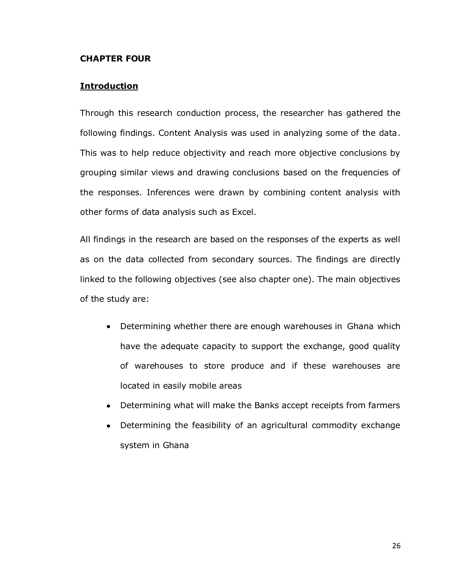## **CHAPTER FOUR**

## **Introduction**

Through this research conduction process, the researcher has gathered the following findings. Content Analysis was used in analyzing some of the data. This was to help reduce objectivity and reach more objective conclusions by grouping similar views and drawing conclusions based on the frequencies of the responses. Inferences were drawn by combining content analysis with other forms of data analysis such as Excel.

All findings in the research are based on the responses of the experts as well as on the data collected from secondary sources. The findings are directly linked to the following objectives (see also chapter one). The main objectives of the study are:

- Determining whether there are enough warehouses in Ghana which have the adequate capacity to support the exchange, good quality of warehouses to store produce and if these warehouses are located in easily mobile areas
- Determining what will make the Banks accept receipts from farmers
- Determining the feasibility of an agricultural commodity exchange  $\bullet$ system in Ghana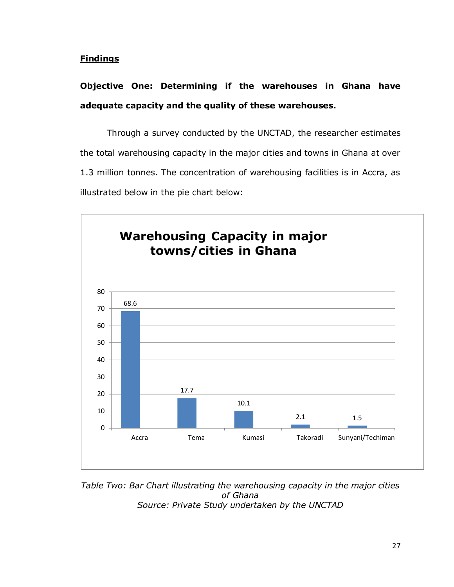## **Findings**

# **Objective One: Determining if the warehouses in Ghana have adequate capacity and the quality of these warehouses.**

Through a survey conducted by the UNCTAD, the researcher estimates the total warehousing capacity in the major cities and towns in Ghana at over 1.3 million tonnes. The concentration of warehousing facilities is in Accra, as illustrated below in the pie chart below:



*Table Two: Bar Chart illustrating the warehousing capacity in the major cities of Ghana Source: Private Study undertaken by the UNCTAD*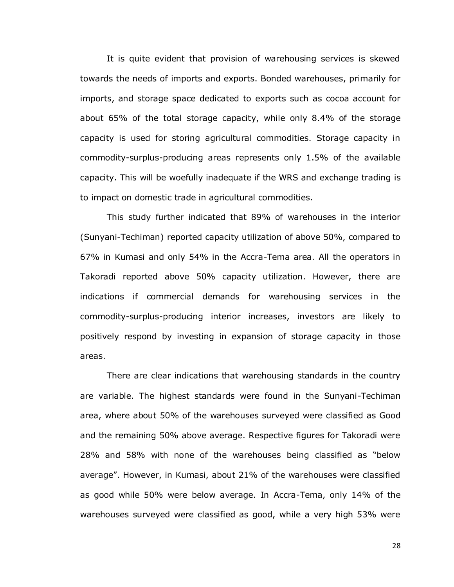It is quite evident that provision of warehousing services is skewed towards the needs of imports and exports. Bonded warehouses, primarily for imports, and storage space dedicated to exports such as cocoa account for about 65% of the total storage capacity, while only 8.4% of the storage capacity is used for storing agricultural commodities. Storage capacity in commodity-surplus-producing areas represents only 1.5% of the available capacity. This will be woefully inadequate if the WRS and exchange trading is to impact on domestic trade in agricultural commodities.

This study further indicated that 89% of warehouses in the interior (Sunyani-Techiman) reported capacity utilization of above 50%, compared to 67% in Kumasi and only 54% in the Accra-Tema area. All the operators in Takoradi reported above 50% capacity utilization. However, there are indications if commercial demands for warehousing services in the commodity-surplus-producing interior increases, investors are likely to positively respond by investing in expansion of storage capacity in those areas.

There are clear indications that warehousing standards in the country are variable. The highest standards were found in the Sunyani-Techiman area, where about 50% of the warehouses surveyed were classified as Good and the remaining 50% above average. Respective figures for Takoradi were 28% and 58% with none of the warehouses being classified as "below average". However, in Kumasi, about 21% of the warehouses were classified as good while 50% were below average. In Accra-Tema, only 14% of the warehouses surveyed were classified as good, while a very high 53% were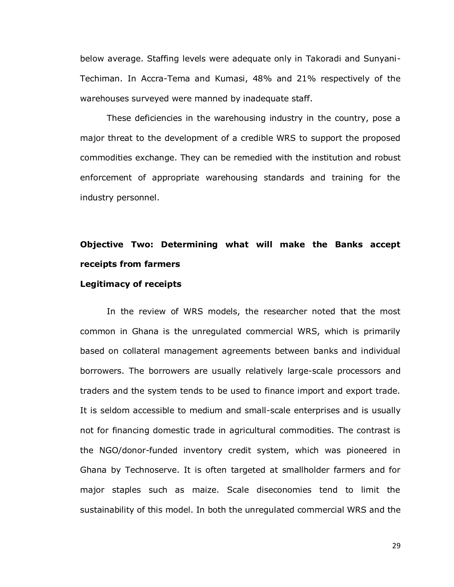below average. Staffing levels were adequate only in Takoradi and Sunyani-Techiman. In Accra-Tema and Kumasi, 48% and 21% respectively of the warehouses surveyed were manned by inadequate staff.

These deficiencies in the warehousing industry in the country, pose a major threat to the development of a credible WRS to support the proposed commodities exchange. They can be remedied with the institution and robust enforcement of appropriate warehousing standards and training for the industry personnel.

# **Objective Two: Determining what will make the Banks accept receipts from farmers**

#### **Legitimacy of receipts**

In the review of WRS models, the researcher noted that the most common in Ghana is the unregulated commercial WRS, which is primarily based on collateral management agreements between banks and individual borrowers. The borrowers are usually relatively large-scale processors and traders and the system tends to be used to finance import and export trade. It is seldom accessible to medium and small-scale enterprises and is usually not for financing domestic trade in agricultural commodities. The contrast is the NGO/donor-funded inventory credit system, which was pioneered in Ghana by Technoserve. It is often targeted at smallholder farmers and for major staples such as maize. Scale diseconomies tend to limit the sustainability of this model. In both the unregulated commercial WRS and the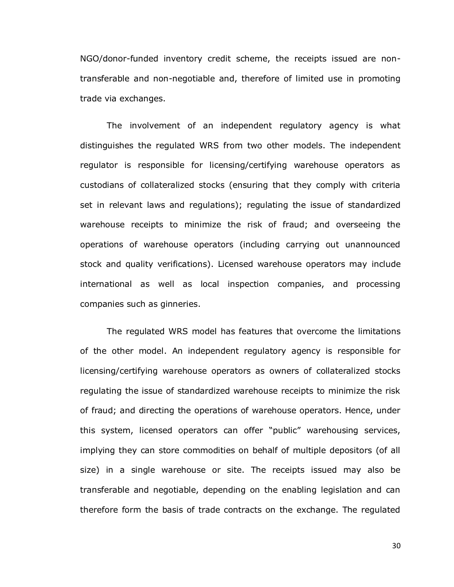NGO/donor-funded inventory credit scheme, the receipts issued are nontransferable and non-negotiable and, therefore of limited use in promoting trade via exchanges.

The involvement of an independent regulatory agency is what distinguishes the regulated WRS from two other models. The independent regulator is responsible for licensing/certifying warehouse operators as custodians of collateralized stocks (ensuring that they comply with criteria set in relevant laws and regulations); regulating the issue of standardized warehouse receipts to minimize the risk of fraud; and overseeing the operations of warehouse operators (including carrying out unannounced stock and quality verifications). Licensed warehouse operators may include international as well as local inspection companies, and processing companies such as ginneries.

The regulated WRS model has features that overcome the limitations of the other model. An independent regulatory agency is responsible for licensing/certifying warehouse operators as owners of collateralized stocks regulating the issue of standardized warehouse receipts to minimize the risk of fraud; and directing the operations of warehouse operators. Hence, under this system, licensed operators can offer "public" warehousing services, implying they can store commodities on behalf of multiple depositors (of all size) in a single warehouse or site. The receipts issued may also be transferable and negotiable, depending on the enabling legislation and can therefore form the basis of trade contracts on the exchange. The regulated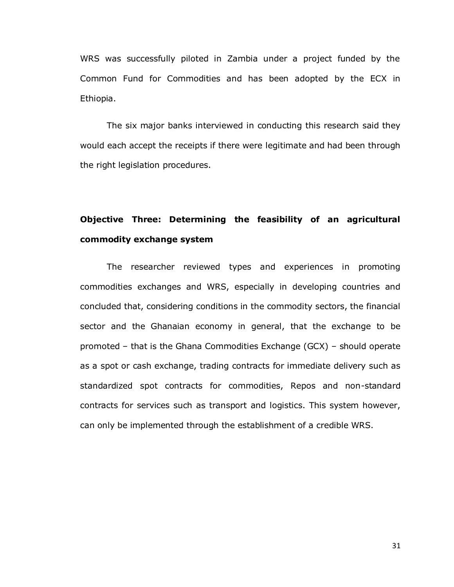WRS was successfully piloted in Zambia under a project funded by the Common Fund for Commodities and has been adopted by the ECX in Ethiopia.

The six major banks interviewed in conducting this research said they would each accept the receipts if there were legitimate and had been through the right legislation procedures.

## **Objective Three: Determining the feasibility of an agricultural commodity exchange system**

The researcher reviewed types and experiences in promoting commodities exchanges and WRS, especially in developing countries and concluded that, considering conditions in the commodity sectors, the financial sector and the Ghanaian economy in general, that the exchange to be promoted – that is the Ghana Commodities Exchange (GCX) – should operate as a spot or cash exchange, trading contracts for immediate delivery such as standardized spot contracts for commodities, Repos and non-standard contracts for services such as transport and logistics. This system however, can only be implemented through the establishment of a credible WRS.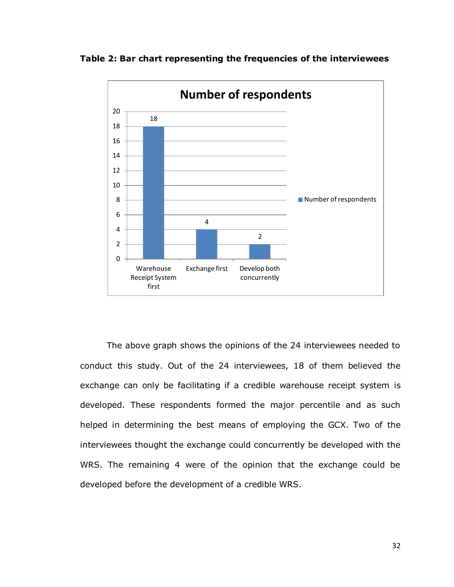



The above graph shows the opinions of the 24 interviewees needed to conduct this study. Out of the 24 interviewees, 18 of them believed the exchange can only be facilitating if a credible warehouse receipt system is developed. These respondents formed the major percentile and as such helped in determining the best means of employing the GCX. Two of the interviewees thought the exchange could concurrently be developed with the WRS. The remaining 4 were of the opinion that the exchange could be developed before the development of a credible WRS.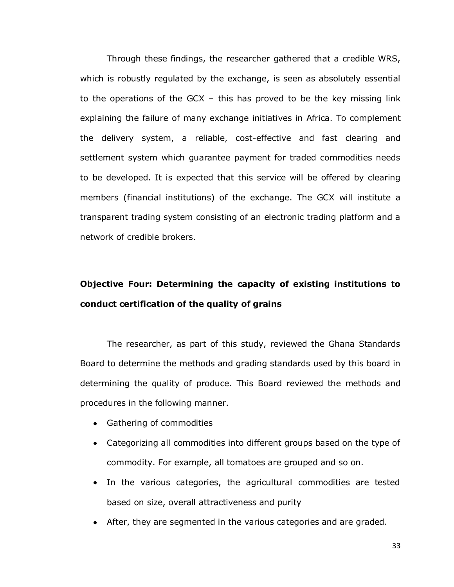Through these findings, the researcher gathered that a credible WRS, which is robustly regulated by the exchange, is seen as absolutely essential to the operations of the GCX – this has proved to be the key missing link explaining the failure of many exchange initiatives in Africa. To complement the delivery system, a reliable, cost-effective and fast clearing and settlement system which guarantee payment for traded commodities needs to be developed. It is expected that this service will be offered by clearing members (financial institutions) of the exchange. The GCX will institute a transparent trading system consisting of an electronic trading platform and a network of credible brokers.

## **Objective Four: Determining the capacity of existing institutions to conduct certification of the quality of grains**

The researcher, as part of this study, reviewed the Ghana Standards Board to determine the methods and grading standards used by this board in determining the quality of produce. This Board reviewed the methods and procedures in the following manner.

- Gathering of commodities
- Categorizing all commodities into different groups based on the type of commodity. For example, all tomatoes are grouped and so on.
- In the various categories, the agricultural commodities are tested based on size, overall attractiveness and purity
- After, they are segmented in the various categories and are graded.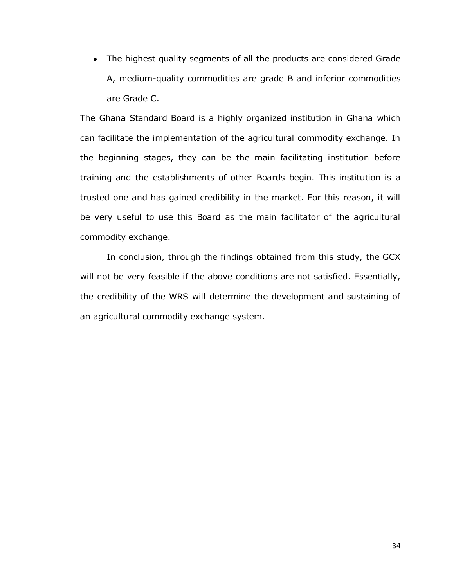The highest quality segments of all the products are considered Grade A, medium-quality commodities are grade B and inferior commodities are Grade C.

The Ghana Standard Board is a highly organized institution in Ghana which can facilitate the implementation of the agricultural commodity exchange. In the beginning stages, they can be the main facilitating institution before training and the establishments of other Boards begin. This institution is a trusted one and has gained credibility in the market. For this reason, it will be very useful to use this Board as the main facilitator of the agricultural commodity exchange.

In conclusion, through the findings obtained from this study, the GCX will not be very feasible if the above conditions are not satisfied. Essentially, the credibility of the WRS will determine the development and sustaining of an agricultural commodity exchange system.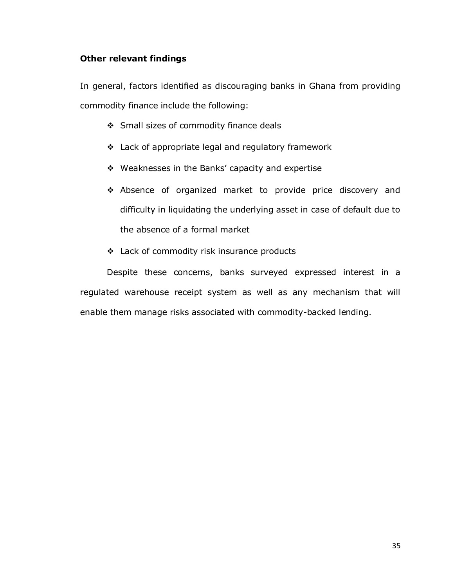## **Other relevant findings**

In general, factors identified as discouraging banks in Ghana from providing commodity finance include the following:

- Small sizes of commodity finance deals
- Lack of appropriate legal and regulatory framework
- Weaknesses in the Banks' capacity and expertise
- Absence of organized market to provide price discovery and difficulty in liquidating the underlying asset in case of default due to the absence of a formal market
- Lack of commodity risk insurance products

Despite these concerns, banks surveyed expressed interest in a regulated warehouse receipt system as well as any mechanism that will enable them manage risks associated with commodity-backed lending.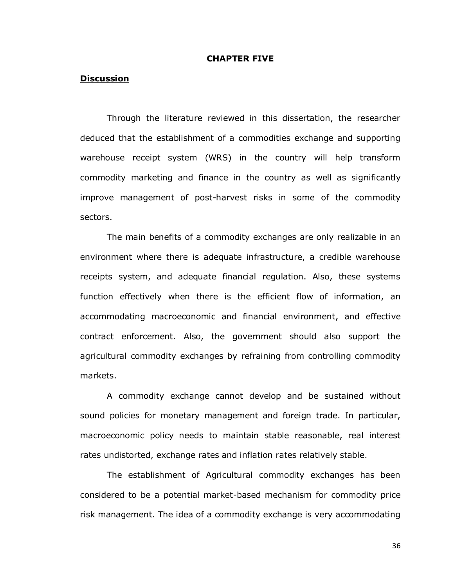#### **CHAPTER FIVE**

## **Discussion**

Through the literature reviewed in this dissertation, the researcher deduced that the establishment of a commodities exchange and supporting warehouse receipt system (WRS) in the country will help transform commodity marketing and finance in the country as well as significantly improve management of post-harvest risks in some of the commodity sectors.

The main benefits of a commodity exchanges are only realizable in an environment where there is adequate infrastructure, a credible warehouse receipts system, and adequate financial regulation. Also, these systems function effectively when there is the efficient flow of information, an accommodating macroeconomic and financial environment, and effective contract enforcement. Also, the government should also support the agricultural commodity exchanges by refraining from controlling commodity markets.

A commodity exchange cannot develop and be sustained without sound policies for monetary management and foreign trade. In particular, macroeconomic policy needs to maintain stable reasonable, real interest rates undistorted, exchange rates and inflation rates relatively stable.

The establishment of Agricultural commodity exchanges has been considered to be a potential market-based mechanism for commodity price risk management. The idea of a commodity exchange is very accommodating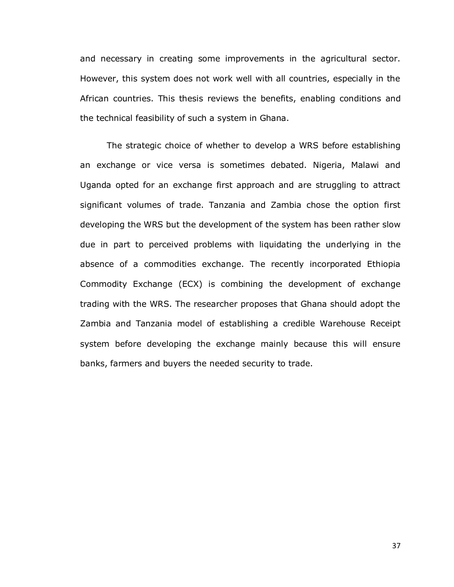and necessary in creating some improvements in the agricultural sector. However, this system does not work well with all countries, especially in the African countries. This thesis reviews the benefits, enabling conditions and the technical feasibility of such a system in Ghana.

The strategic choice of whether to develop a WRS before establishing an exchange or vice versa is sometimes debated. Nigeria, Malawi and Uganda opted for an exchange first approach and are struggling to attract significant volumes of trade. Tanzania and Zambia chose the option first developing the WRS but the development of the system has been rather slow due in part to perceived problems with liquidating the underlying in the absence of a commodities exchange. The recently incorporated Ethiopia Commodity Exchange (ECX) is combining the development of exchange trading with the WRS. The researcher proposes that Ghana should adopt the Zambia and Tanzania model of establishing a credible Warehouse Receipt system before developing the exchange mainly because this will ensure banks, farmers and buyers the needed security to trade.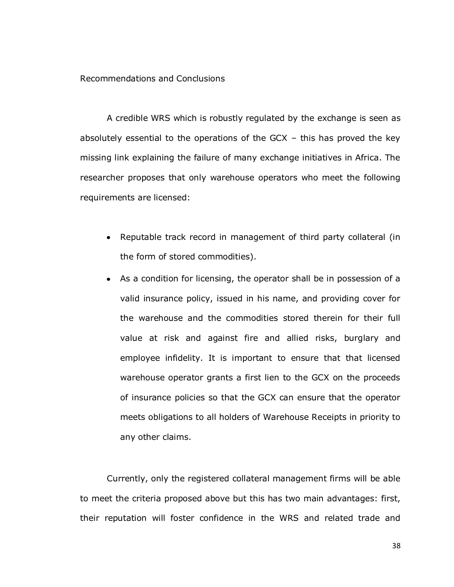Recommendations and Conclusions

A credible WRS which is robustly regulated by the exchange is seen as absolutely essential to the operations of the GCX – this has proved the key missing link explaining the failure of many exchange initiatives in Africa. The researcher proposes that only warehouse operators who meet the following requirements are licensed:

- Reputable track record in management of third party collateral (in the form of stored commodities).
- As a condition for licensing, the operator shall be in possession of a valid insurance policy, issued in his name, and providing cover for the warehouse and the commodities stored therein for their full value at risk and against fire and allied risks, burglary and employee infidelity. It is important to ensure that that licensed warehouse operator grants a first lien to the GCX on the proceeds of insurance policies so that the GCX can ensure that the operator meets obligations to all holders of Warehouse Receipts in priority to any other claims.

Currently, only the registered collateral management firms will be able to meet the criteria proposed above but this has two main advantages: first, their reputation will foster confidence in the WRS and related trade and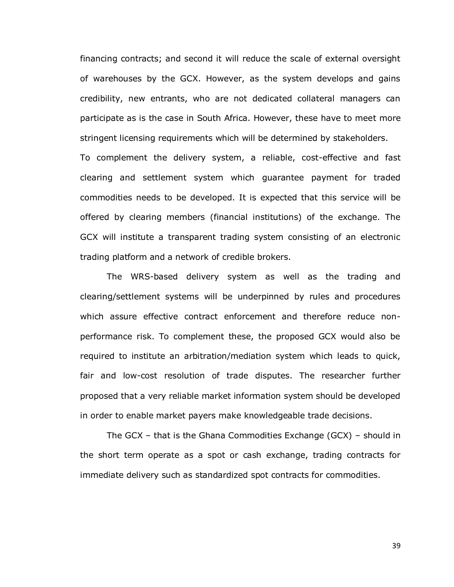financing contracts; and second it will reduce the scale of external oversight of warehouses by the GCX. However, as the system develops and gains credibility, new entrants, who are not dedicated collateral managers can participate as is the case in South Africa. However, these have to meet more stringent licensing requirements which will be determined by stakeholders.

To complement the delivery system, a reliable, cost-effective and fast clearing and settlement system which guarantee payment for traded commodities needs to be developed. It is expected that this service will be offered by clearing members (financial institutions) of the exchange. The GCX will institute a transparent trading system consisting of an electronic trading platform and a network of credible brokers.

The WRS-based delivery system as well as the trading and clearing/settlement systems will be underpinned by rules and procedures which assure effective contract enforcement and therefore reduce nonperformance risk. To complement these, the proposed GCX would also be required to institute an arbitration/mediation system which leads to quick, fair and low-cost resolution of trade disputes. The researcher further proposed that a very reliable market information system should be developed in order to enable market payers make knowledgeable trade decisions.

The GCX – that is the Ghana Commodities Exchange (GCX) – should in the short term operate as a spot or cash exchange, trading contracts for immediate delivery such as standardized spot contracts for commodities.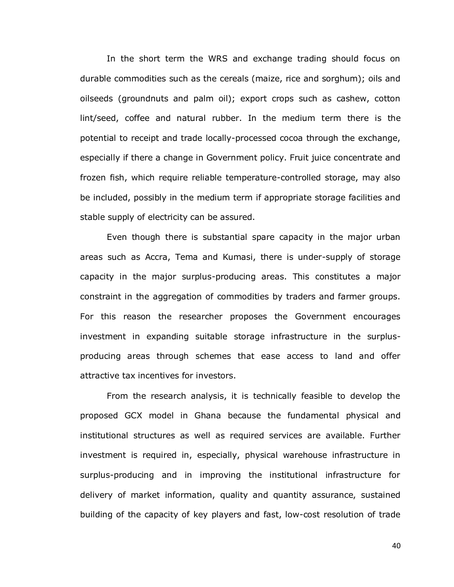In the short term the WRS and exchange trading should focus on durable commodities such as the cereals (maize, rice and sorghum); oils and oilseeds (groundnuts and palm oil); export crops such as cashew, cotton lint/seed, coffee and natural rubber. In the medium term there is the potential to receipt and trade locally-processed cocoa through the exchange, especially if there a change in Government policy. Fruit juice concentrate and frozen fish, which require reliable temperature-controlled storage, may also be included, possibly in the medium term if appropriate storage facilities and stable supply of electricity can be assured.

Even though there is substantial spare capacity in the major urban areas such as Accra, Tema and Kumasi, there is under-supply of storage capacity in the major surplus-producing areas. This constitutes a major constraint in the aggregation of commodities by traders and farmer groups. For this reason the researcher proposes the Government encourages investment in expanding suitable storage infrastructure in the surplusproducing areas through schemes that ease access to land and offer attractive tax incentives for investors.

From the research analysis, it is technically feasible to develop the proposed GCX model in Ghana because the fundamental physical and institutional structures as well as required services are available. Further investment is required in, especially, physical warehouse infrastructure in surplus-producing and in improving the institutional infrastructure for delivery of market information, quality and quantity assurance, sustained building of the capacity of key players and fast, low-cost resolution of trade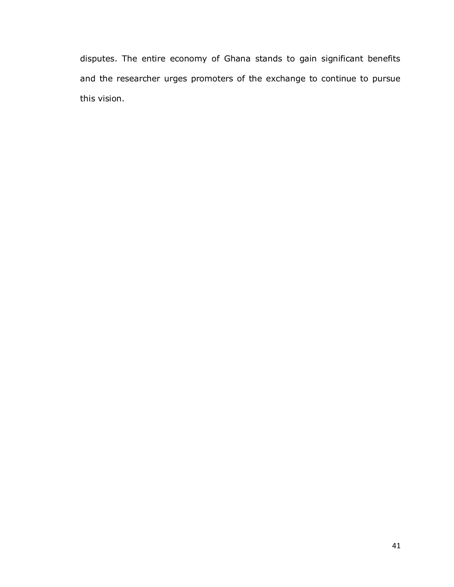disputes. The entire economy of Ghana stands to gain significant benefits and the researcher urges promoters of the exchange to continue to pursue this vision.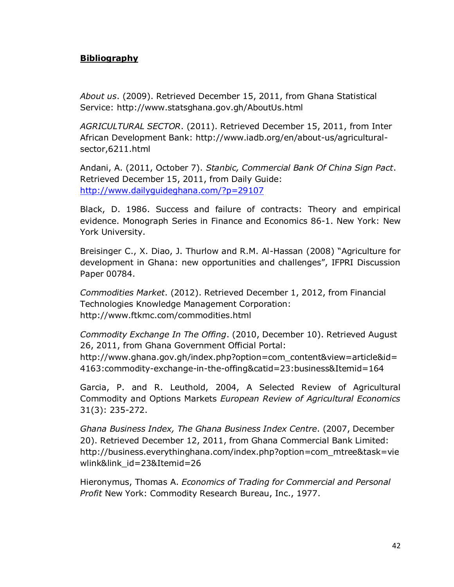## **Bibliography**

*About us*. (2009). Retrieved December 15, 2011, from Ghana Statistical Service: http://www.statsghana.gov.gh/AboutUs.html

*AGRICULTURAL SECTOR*. (2011). Retrieved December 15, 2011, from Inter African Development Bank: http://www.iadb.org/en/about-us/agriculturalsector,6211.html

Andani, A. (2011, October 7). *Stanbic, Commercial Bank Of China Sign Pact*. Retrieved December 15, 2011, from Daily Guide: <http://www.dailyguideghana.com/?p=29107>

Black, D. 1986. Success and failure of contracts: Theory and empirical evidence. Monograph Series in Finance and Economics 86-1. New York: New York University.

Breisinger C., X. Diao, J. Thurlow and R.M. Al-Hassan (2008) "Agriculture for development in Ghana: new opportunities and challenges", IFPRI Discussion Paper 00784.

*Commodities Market*. (2012). Retrieved December 1, 2012, from Financial Technologies Knowledge Management Corporation: http://www.ftkmc.com/commodities.html

*Commodity Exchange In The Offing*. (2010, December 10). Retrieved August 26, 2011, from Ghana Government Official Portal:

http://www.ghana.gov.gh/index.php?option=com\_content&view=article&id= 4163:commodity-exchange-in-the-offing&catid=23:business&Itemid=164

Garcia, P. and R. Leuthold, 2004, A Selected Review of Agricultural Commodity and Options Markets *European Review of Agricultural Economics*  31(3): 235-272.

*Ghana Business Index, The Ghana Business Index Centre*. (2007, December 20). Retrieved December 12, 2011, from Ghana Commercial Bank Limited: http://business.everythinghana.com/index.php?option=com\_mtree&task=vie wlink&link\_id=23&Itemid=26

Hieronymus, Thomas A. *Economics of Trading for Commercial and Personal Profit* New York: Commodity Research Bureau, Inc., 1977.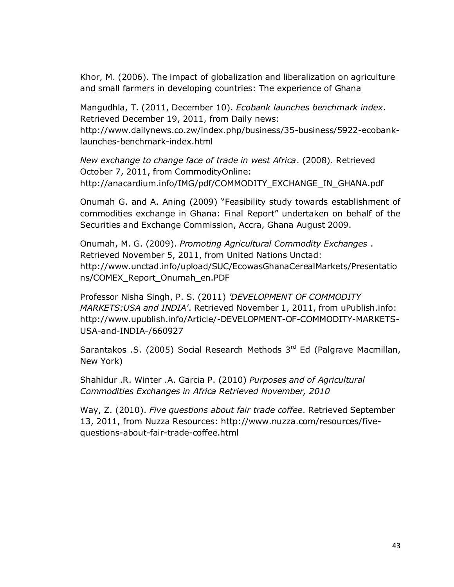Khor, M. (2006). The impact of globalization and liberalization on agriculture and small farmers in developing countries: The experience of Ghana

Mangudhla, T. (2011, December 10). *Ecobank launches benchmark index*. Retrieved December 19, 2011, from Daily news: http://www.dailynews.co.zw/index.php/business/35-business/5922-ecobanklaunches-benchmark-index.html

*New exchange to change face of trade in west Africa*. (2008). Retrieved October 7, 2011, from CommodityOnline: http://anacardium.info/IMG/pdf/COMMODITY\_EXCHANGE\_IN\_GHANA.pdf

Onumah G. and A. Aning (2009) "Feasibility study towards establishment of commodities exchange in Ghana: Final Report" undertaken on behalf of the Securities and Exchange Commission, Accra, Ghana August 2009.

Onumah, M. G. (2009). *Promoting Agricultural Commodity Exchanges* . Retrieved November 5, 2011, from United Nations Unctad: http://www.unctad.info/upload/SUC/EcowasGhanaCerealMarkets/Presentatio ns/COMEX\_Report\_Onumah\_en.PDF

Professor Nisha Singh, P. S. (2011) *'DEVELOPMENT OF COMMODITY MARKETS:USA and INDIA'*. Retrieved November 1, 2011, from uPublish.info: http://www.upublish.info/Article/-DEVELOPMENT-OF-COMMODITY-MARKETS-USA-and-INDIA-/660927

Sarantakos .S. (2005) Social Research Methods  $3<sup>rd</sup>$  Ed (Palgrave Macmillan, New York)

Shahidur .R. Winter .A. Garcia P. (2010) *Purposes and of Agricultural Commodities Exchanges in Africa Retrieved November, 2010* 

Way, Z. (2010). *Five questions about fair trade coffee*. Retrieved September 13, 2011, from Nuzza Resources: http://www.nuzza.com/resources/fivequestions-about-fair-trade-coffee.html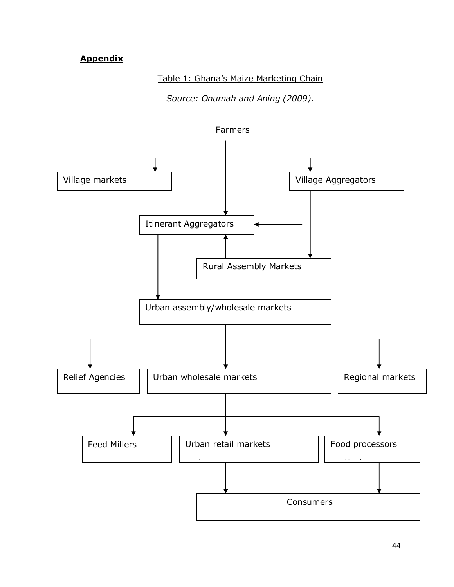## **Appendix**

## Table 1: Ghana's Maize Marketing Chain

*Source: Onumah and Aning (2009).*

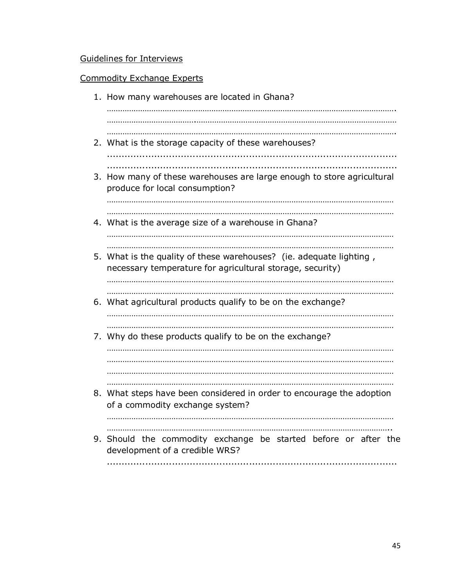## Guidelines for Interviews

## Commodity Exchange Experts

| 1. How many warehouses are located in Ghana?                                                                                     |
|----------------------------------------------------------------------------------------------------------------------------------|
|                                                                                                                                  |
| 2. What is the storage capacity of these warehouses?                                                                             |
| 3. How many of these warehouses are large enough to store agricultural<br>produce for local consumption?                         |
| 4. What is the average size of a warehouse in Ghana?                                                                             |
| 5. What is the quality of these warehouses? (ie. adequate lighting,<br>necessary temperature for agricultural storage, security) |
| 6. What agricultural products qualify to be on the exchange?                                                                     |
| 7. Why do these products qualify to be on the exchange?                                                                          |
|                                                                                                                                  |
| 8. What steps have been considered in order to encourage the adoption<br>of a commodity exchange system?                         |
| 9. Should the commodity exchange be started before or after the<br>development of a credible WRS?                                |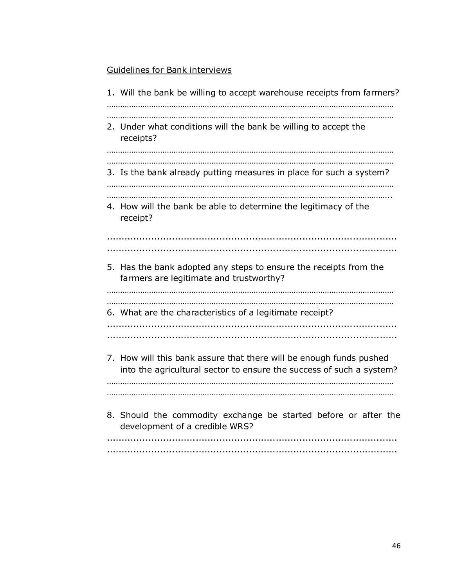## Guidelines for Bank interviews

1. Will the bank be willing to accept warehouse receipts from farmers? ………………………………………………………………………………………………………………… ………………………………………………………………………………………………………………… 2. Under what conditions will the bank be willing to accept the receipts? ………………………………………………………………………………………………………………… ………………………………………………………………………………………………………………… 3. Is the bank already putting measures in place for such a system? ………………………………………………………………………………………………………………… ……………………………………………………………………………………………………………….. 4. How will the bank be able to determine the legitimacy of the receipt? .................................................................................................. .................................................................................................. 5. Has the bank adopted any steps to ensure the receipts from the farmers are legitimate and trustworthy? ………………………………………………………………………………………………………………… ………………………………………………………………………………………………………………… 6. What are the characteristics of a legitimate receipt? .................................................................................................. .................................................................................................. 7. How will this bank assure that there will be enough funds pushed into the agricultural sector to ensure the success of such a system? ………………………………………………………………………………………………………………… ………………………………………………………………………………………………………………… 8. Should the commodity exchange be started before or after the development of a credible WRS? .................................................................................................. ..................................................................................................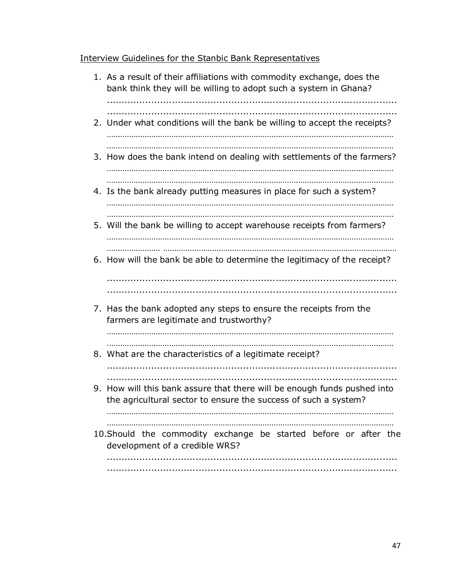## Interview Guidelines for the Stanbic Bank Representatives

| 1. As a result of their affiliations with commodity exchange, does the<br>bank think they will be willing to adopt such a system in Ghana?  |
|---------------------------------------------------------------------------------------------------------------------------------------------|
| 2. Under what conditions will the bank be willing to accept the receipts?                                                                   |
| 3. How does the bank intend on dealing with settlements of the farmers?                                                                     |
| 4. Is the bank already putting measures in place for such a system?                                                                         |
| 5. Will the bank be willing to accept warehouse receipts from farmers?                                                                      |
| 6. How will the bank be able to determine the legitimacy of the receipt?                                                                    |
| 7. Has the bank adopted any steps to ensure the receipts from the<br>farmers are legitimate and trustworthy?                                |
| 8. What are the characteristics of a legitimate receipt?                                                                                    |
| 9. How will this bank assure that there will be enough funds pushed into<br>the agricultural sector to ensure the success of such a system? |
| 10. Should the commodity exchange be started before or after the<br>development of a credible WRS?                                          |
|                                                                                                                                             |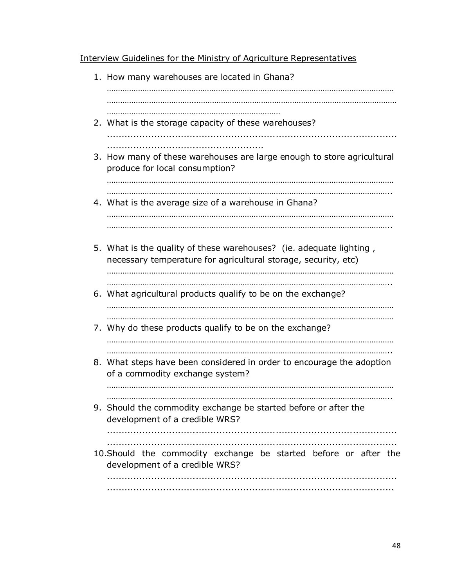Interview Guidelines for the Ministry of Agriculture Representatives

1. How many warehouses are located in Ghana? ………………………………………………………………………………………………………………… ………………………………….……………………………………………………………………………… …………………………………………………………………… 2. What is the storage capacity of these warehouses? .................................................................................................. ..................................................... 3. How many of these warehouses are large enough to store agricultural produce for local consumption? ………………………………………………………………………………………………………………… ……………………………………………………………………………………………………………….. 4. What is the average size of a warehouse in Ghana? ………………………………………………………………………………………………………………… ……………………………………………………………………………………………………………….. 5. What is the quality of these warehouses? (ie. adequate lighting , necessary temperature for agricultural storage, security, etc) ………………………………………………………………………………………………………………… ……………………………………………………………………………………………………………….. 6. What agricultural products qualify to be on the exchange? ………………………………………………………………………………………………………………… 7. Why do these products qualify to be on the exchange? ………………………………………………………………………………………………………………… ……………………………………………………………………………………………………………….. 8. What steps have been considered in order to encourage the adoption of a commodity exchange system? ………………………………………………………………………………………………………………… ……………………………………………………………………………………………………………….. 9. Should the commodity exchange be started before or after the development of a credible WRS? .................................................................................................. .................................................................................................. 10.Should the commodity exchange be started before or after the development of a credible WRS? .................................................................................................. .................................................................................................